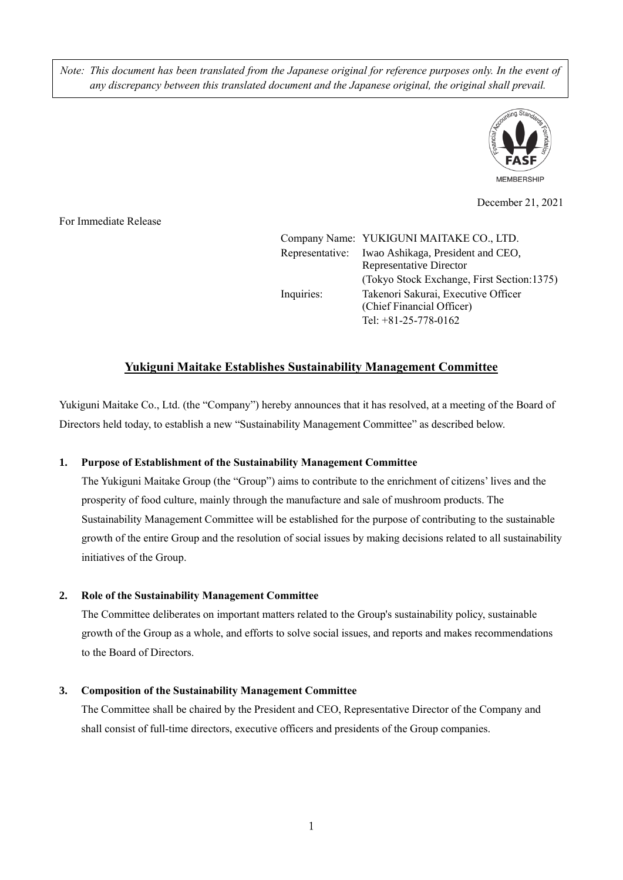*Note: This document has been translated from the Japanese original for reference purposes only. In the event of any discrepancy between this translated document and the Japanese original, the original shall prevail.*



December 21, 2021

For Immediate Release

|            | Company Name: YUKIGUNI MAITAKE CO., LTD.                                                                                                 |
|------------|------------------------------------------------------------------------------------------------------------------------------------------|
|            | Representative: Iwao Ashikaga, President and CEO,<br><b>Representative Director</b>                                                      |
| Inquiries: | (Tokyo Stock Exchange, First Section:1375)<br>Takenori Sakurai, Executive Officer<br>(Chief Financial Officer)<br>Tel: $+81-25-778-0162$ |

# **Yukiguni Maitake Establishes Sustainability Management Committee**

Yukiguni Maitake Co., Ltd. (the "Company") hereby announces that it has resolved, at a meeting of the Board of Directors held today, to establish a new "Sustainability Management Committee" as described below.

### **1. Purpose of Establishment of the Sustainability Management Committee**

The Yukiguni Maitake Group (the "Group") aims to contribute to the enrichment of citizens' lives and the prosperity of food culture, mainly through the manufacture and sale of mushroom products. The Sustainability Management Committee will be established for the purpose of contributing to the sustainable growth of the entire Group and the resolution of social issues by making decisions related to all sustainability initiatives of the Group.

### **2. Role of the Sustainability Management Committee**

The Committee deliberates on important matters related to the Group's sustainability policy, sustainable growth of the Group as a whole, and efforts to solve social issues, and reports and makes recommendations to the Board of Directors.

### **3. Composition of the Sustainability Management Committee**

The Committee shall be chaired by the President and CEO, Representative Director of the Company and shall consist of full-time directors, executive officers and presidents of the Group companies.